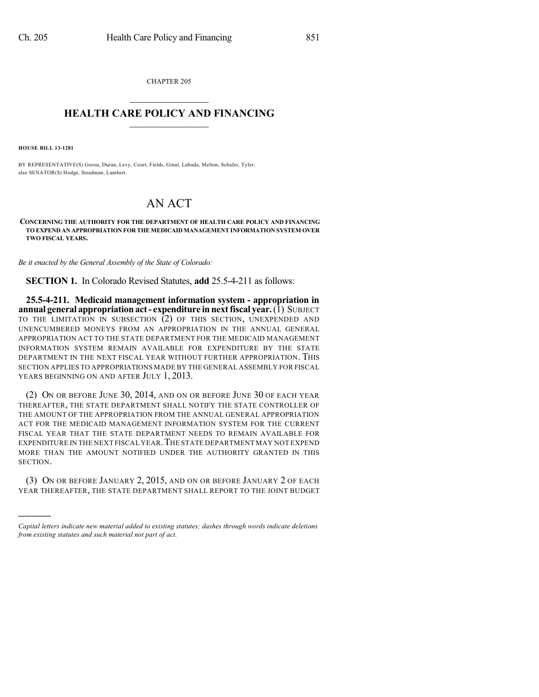CHAPTER 205  $\overline{\phantom{a}}$  . The set of the set of the set of the set of the set of the set of the set of the set of the set of the set of the set of the set of the set of the set of the set of the set of the set of the set of the set o

## **HEALTH CARE POLICY AND FINANCING**  $\_$   $\_$   $\_$   $\_$   $\_$   $\_$   $\_$   $\_$

**HOUSE BILL 13-1281**

)))))

BY REPRESENTATIVE(S) Gerou, Duran, Levy, Court, Fields, Ginal, Labuda, Melton, Schafer, Tyler; also SENATOR(S) Hodge, Steadman, Lambert.

## AN ACT

**CONCERNING THE AUTHORITY FOR THE DEPARTMENT OF HEALTH CARE POLICY AND FINANCING TO EXPEND AN APPROPRIATION FOR THE MEDICAIDMANAGEMENT INFORMATION SYSTEM OVER TWO FISCAL YEARS.**

*Be it enacted by the General Assembly of the State of Colorado:*

**SECTION 1.** In Colorado Revised Statutes, **add** 25.5-4-211 as follows:

**25.5-4-211. Medicaid management information system - appropriation in annual general appropriationact- expenditure innextfiscal year.**(1) SUBJECT TO THE LIMITATION IN SUBSECTION (2) OF THIS SECTION, UNEXPENDED AND UNENCUMBERED MONEYS FROM AN APPROPRIATION IN THE ANNUAL GENERAL APPROPRIATION ACT TO THE STATE DEPARTMENT FOR THE MEDICAID MANAGEMENT INFORMATION SYSTEM REMAIN AVAILABLE FOR EXPENDITURE BY THE STATE DEPARTMENT IN THE NEXT FISCAL YEAR WITHOUT FURTHER APPROPRIATION. THIS SECTION APPLIES TO APPROPRIATIONS MADE BY THE GENERAL ASSEMBLY FOR FISCAL YEARS BEGINNING ON AND AFTER JULY 1, 2013.

(2) ON OR BEFORE JUNE 30, 2014, AND ON OR BEFORE JUNE 30 OF EACH YEAR THEREAFTER, THE STATE DEPARTMENT SHALL NOTIFY THE STATE CONTROLLER OF THE AMOUNT OF THE APPROPRIATION FROM THE ANNUAL GENERAL APPROPRIATION ACT FOR THE MEDICAID MANAGEMENT INFORMATION SYSTEM FOR THE CURRENT FISCAL YEAR THAT THE STATE DEPARTMENT NEEDS TO REMAIN AVAILABLE FOR EXPENDITURE IN THE NEXT FISCAL YEAR.THE STATE DEPARTMENT MAY NOT EXPEND MORE THAN THE AMOUNT NOTIFIED UNDER THE AUTHORITY GRANTED IN THIS SECTION.

(3) ON OR BEFORE JANUARY 2, 2015, AND ON OR BEFORE JANUARY 2 OF EACH YEAR THEREAFTER, THE STATE DEPARTMENT SHALL REPORT TO THE JOINT BUDGET

*Capital letters indicate new material added to existing statutes; dashes through words indicate deletions from existing statutes and such material not part of act.*